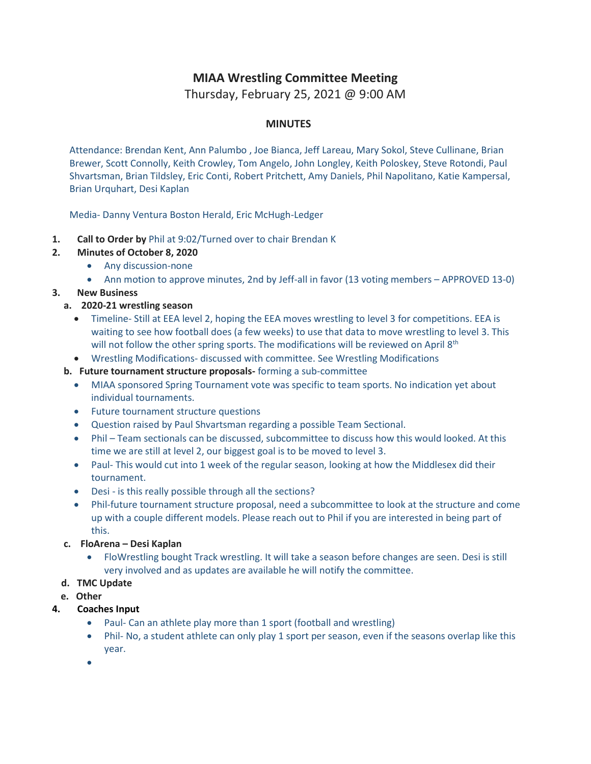## **MIAA Wrestling Committee Meeting**

Thursday, February 25, 2021 @ 9:00 AM

## **MINUTES**

Attendance: Brendan Kent, Ann Palumbo , Joe Bianca, Jeff Lareau, Mary Sokol, Steve Cullinane, Brian Brewer, Scott Connolly, Keith Crowley, Tom Angelo, John Longley, Keith Poloskey, Steve Rotondi, Paul Shvartsman, Brian Tildsley, Eric Conti, Robert Pritchett, Amy Daniels, Phil Napolitano, Katie Kampersal, Brian Urquhart, Desi Kaplan

Media- Danny Ventura Boston Herald, Eric McHugh-Ledger

- **1. Call to Order by** Phil at 9:02/Turned over to chair Brendan K
- **2. [Minutes of October 8, 2020](http://miaa.net/gen/miaa_generated_bin/documents/basic_module/Wrestling_Minutes_10.8.20.pdf)**
	- Any discussion-none
	- Ann motion to approve minutes, 2nd by Jeff-all in favor (13 voting members APPROVED 13-0)
- **3. New Business**
	- **a. 2020-21 wrestling season**
		- Timeline- Still at EEA level 2, hoping the EEA moves wrestling to level 3 for competitions. EEA is waiting to see how football does (a few weeks) to use that data to move wrestling to level 3. This will not follow the other spring sports. The modifications will be reviewed on April 8<sup>th</sup>
		- Wrestling Modifications- discussed with committee. See Wrestling Modifications
	- **b. Future tournament structure proposals-** forming a sub-committee
		- MIAA sponsored Spring Tournament vote was specific to team sports. No indication yet about individual tournaments.
		- Future tournament structure questions
		- Question raised by Paul Shvartsman regarding a possible Team Sectional.
		- Phil Team sectionals can be discussed, subcommittee to discuss how this would looked. At this time we are still at level 2, our biggest goal is to be moved to level 3.
		- Paul- This would cut into 1 week of the regular season, looking at how the Middlesex did their tournament.
		- Desi is this really possible through all the sections?
		- Phil-future tournament structure proposal, need a subcommittee to look at the structure and come up with a couple different models. Please reach out to Phil if you are interested in being part of this.
	- **c. FloArena – Desi Kaplan**
		- FloWrestling bought Track wrestling. It will take a season before changes are seen. Desi is still very involved and as updates are available he will notify the committee.
	- **d. TMC Update**
	- **e. Other**
- **4. Coaches Input**
	- Paul- Can an athlete play more than 1 sport (football and wrestling)
	- Phil- No, a student athlete can only play 1 sport per season, even if the seasons overlap like this year.
	- $\bullet$